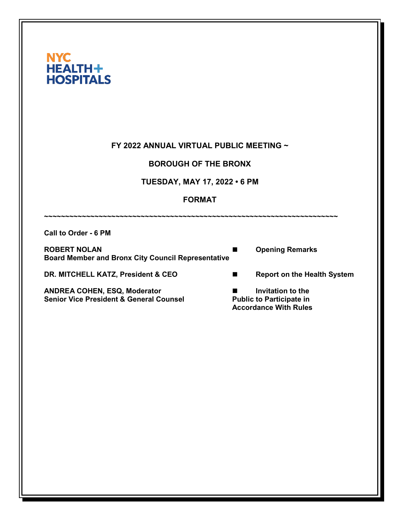| FY 2022 ANNUAL VIRTUAL PUBLIC MEETING ~<br><b>BOROUGH OF THE BRONX</b><br><b>TUESDAY, MAY 17, 2022 • 6 PM</b><br><b>FORMAT</b> |  |                |                                                                                      |                      |                                                           |  |                        |
|--------------------------------------------------------------------------------------------------------------------------------|--|----------------|--------------------------------------------------------------------------------------|----------------------|-----------------------------------------------------------|--|------------------------|
|                                                                                                                                |  |                |                                                                                      | Call to Order - 6 PM |                                                           |  |                        |
|                                                                                                                                |  |                |                                                                                      | <b>ROBERT NOLAN</b>  | <b>Board Member and Bronx City Council Representative</b> |  | <b>Opening Remarks</b> |
| DR. MITCHELL KATZ, President & CEO                                                                                             |  | $\blacksquare$ | <b>Report on the Health System</b>                                                   |                      |                                                           |  |                        |
| ANDREA COHEN, ESQ, Moderator<br><b>Senior Vice President &amp; General Counsel</b>                                             |  | H              | Invitation to the<br><b>Public to Participate in</b><br><b>Accordance With Rules</b> |                      |                                                           |  |                        |
|                                                                                                                                |  |                |                                                                                      |                      |                                                           |  |                        |
|                                                                                                                                |  |                |                                                                                      |                      |                                                           |  |                        |
|                                                                                                                                |  |                |                                                                                      |                      |                                                           |  |                        |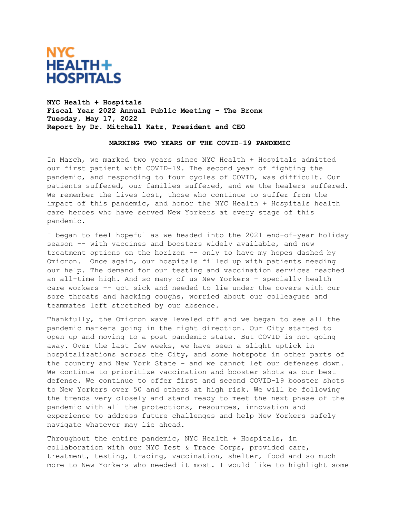

**NYC Health + Hospitals Fiscal Year 2022 Annual Public Meeting – The Bronx Tuesday, May 17, 2022 Report by Dr. Mitchell Katz, President and CEO**

#### **MARKING TWO YEARS OF THE COVID-19 PANDEMIC**

In March, we marked two years since NYC Health + Hospitals admitted our first patient with COVID-19. The second year of fighting the pandemic, and responding to four cycles of COVID, was difficult. Our patients suffered, our families suffered, and we the healers suffered. We remember the lives lost, those who continue to suffer from the impact of this pandemic, and honor the NYC Health + Hospitals health care heroes who have served New Yorkers at every stage of this pandemic.

I began to feel hopeful as we headed into the 2021 end-of-year holiday season -- with vaccines and boosters widely available, and new treatment options on the horizon -- only to have my hopes dashed by Omicron. Once again, our hospitals filled up with patients needing our help. The demand for our testing and vaccination services reached an all-time high. And so many of us New Yorkers – specially health care workers -- got sick and needed to lie under the covers with our sore throats and hacking coughs, worried about our colleagues and teammates left stretched by our absence.

Thankfully, the Omicron wave leveled off and we began to see all the pandemic markers going in the right direction. Our City started to open up and moving to a post pandemic state. But COVID is not going away. Over the last few weeks, we have seen a slight uptick in hospitalizations across the City, and some hotspots in other parts of the country and New York State - and we cannot let our defenses down. We continue to prioritize vaccination and booster shots as our best defense. We continue to offer first and second COVID-19 booster shots to New Yorkers over 50 and others at high risk. We will be following the trends very closely and stand ready to meet the next phase of the pandemic with all the protections, resources, innovation and experience to address future challenges and help New Yorkers safely navigate whatever may lie ahead.

Throughout the entire pandemic, NYC Health + Hospitals, in collaboration with our NYC Test & Trace Corps, provided care, treatment, testing, tracing, vaccination, shelter, food and so much more to New Yorkers who needed it most. I would like to highlight some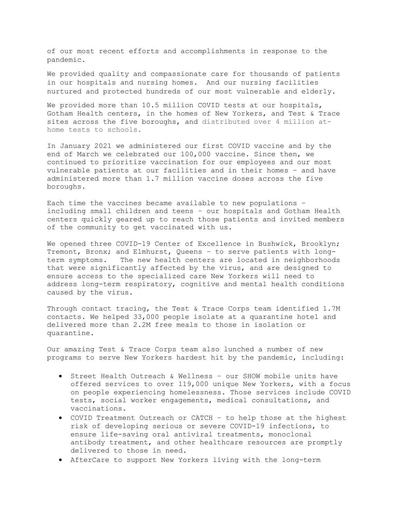of our most recent efforts and accomplishments in response to the pandemic.

We provided quality and compassionate care for thousands of patients in our hospitals and nursing homes. And our nursing facilities nurtured and protected hundreds of our most vulnerable and elderly.

We provided more than 10.5 million COVID tests at our hospitals, Gotham Health centers, in the homes of New Yorkers, and Test & Trace sites across the five boroughs, and distributed over 4 million athome tests to schools.

In January 2021 we administered our first COVID vaccine and by the end of March we celebrated our 100,000 vaccine. Since then, we continued to prioritize vaccination for our employees and our most vulnerable patients at our facilities and in their homes – and have administered more than 1.7 million vaccine doses across the five boroughs.

Each time the vaccines became available to new populations – including small children and teens – our hospitals and Gotham Health centers quickly geared up to reach those patients and invited members of the community to get vaccinated with us.

We opened three COVID-19 Center of Excellence in Bushwick, Brooklyn; Tremont, Bronx; and Elmhurst, Queens - to serve patients with long-<br>term symptoms. The new health centers are located in neighborhoods The new health centers are located in neighborhoods that were significantly affected by the virus, and are designed to ensure access to the specialized care New Yorkers will need to address long-term respiratory, cognitive and mental health conditions caused by the virus.

Through contact tracing, the Test & Trace Corps team identified 1.7M contacts. We helped 33,000 people isolate at a quarantine hotel and delivered more than 2.2M free meals to those in isolation or quarantine.

Our amazing Test & Trace Corps team also lunched a number of new programs to serve New Yorkers hardest hit by the pandemic, including:

- Street Health Outreach & Wellness our SHOW mobile units have offered services to over 119,000 unique New Yorkers, with a focus on people experiencing homelessness. Those services include COVID tests, social worker engagements, medical consultations, and vaccinations.
- COVID Treatment Outreach or CATCH to help those at the highest risk of developing serious or severe COVID-19 infections, to ensure life-saving oral antiviral treatments, monoclonal antibody treatment, and other healthcare resources are promptly delivered to those in need.
- AfterCare to support New Yorkers living with the long-term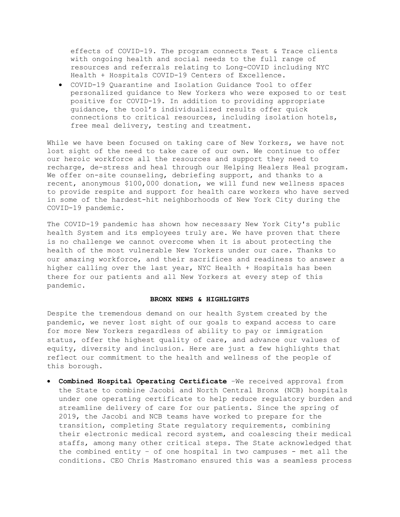effects of COVID-19. The program connects Test & Trace clients with ongoing health and social needs to the full range of resources and referrals relating to Long-COVID including NYC Health + Hospitals COVID-19 Centers of Excellence.

• [COVID-19 Quarantine and Isolation Guidance Tool](https://covid19.nychealthandhospitals.org/COVID19help) to offer personalized guidance to New Yorkers who were exposed to or test positive for COVID-19. In addition to providing appropriate guidance, the tool's individualized results offer quick connections to critical resources, including isolation hotels, free meal delivery, testing and treatment.

While we have been focused on taking care of New Yorkers, we have not lost sight of the need to take care of our own. We continue to offer our heroic workforce all the resources and support they need to recharge, de-stress and heal through our Helping Healers Heal program. We offer on-site counseling, debriefing support, and thanks to a recent, anonymous \$100,000 donation, we will fund new wellness spaces to provide respite and support for health care workers who have served in some of the hardest-hit neighborhoods of New York City during the COVID-19 pandemic.

The COVID-19 pandemic has shown how necessary New York City's public health System and its employees truly are. We have proven that there is no challenge we cannot overcome when it is about protecting the health of the most vulnerable New Yorkers under our care. Thanks to our amazing workforce, and their sacrifices and readiness to answer a higher calling over the last year, NYC Health + Hospitals has been there for our patients and all New Yorkers at every step of this pandemic.

### **BRONX NEWS & HIGHLIGHTS**

Despite the tremendous demand on our health System created by the pandemic, we never lost sight of our goals to expand access to care for more New Yorkers regardless of ability to pay or immigration status, offer the highest quality of care, and advance our values of equity, diversity and inclusion. Here are just a few highlights that reflect our commitment to the health and wellness of the people of this borough.

• **Combined Hospital Operating Certificate** –We received approval from the State to combine Jacobi and North Central Bronx (NCB) hospitals under one operating certificate to help reduce regulatory burden and streamline delivery of care for our patients. Since the spring of 2019, the Jacobi and NCB teams have worked to prepare for the transition, completing State regulatory requirements, combining their electronic medical record system, and coalescing their medical staffs, among many other critical steps. The State acknowledged that the combined entity – of one hospital in two campuses - met all the conditions. CEO Chris Mastromano ensured this was a seamless process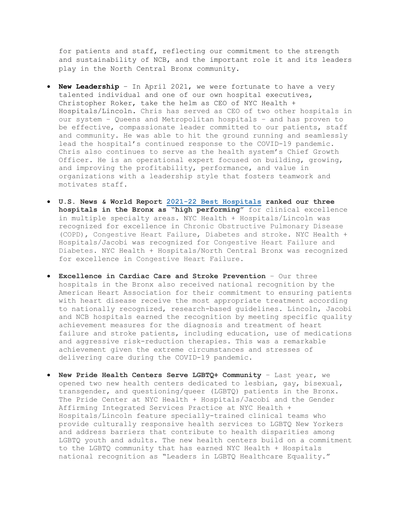for patients and staff, reflecting our commitment to the strength and sustainability of NCB, and the important role it and its leaders play in the North Central Bronx community.

- **New Leadership** In April 2021, we were fortunate to have a very talented individual and one of our own hospital executives, Christopher Roker, take the helm as CEO of NYC Health + Hospitals/Lincoln. Chris has served as CEO of two other hospitals in our system – Queens and Metropolitan hospitals – and has proven to be effective, compassionate leader committed to our patients, staff and community. He was able to hit the ground running and seamlessly lead the hospital's continued response to the COVID-19 pandemic. Chris also continues to serve as the health system's Chief Growth Officer. He is an operational expert focused on building, growing, and improving the profitability, performance, and value in organizations with a leadership style that fosters teamwork and motivates staff.
- **U.S. News & World Report 2021-22 Best [Hospitals](https://health.usnews.com/best-hospitals/rankings) ranked our three hospitals in the Bronx as "high performing"** for clinical excellence in multiple specialty areas. NYC Health + Hospitals/Lincoln was recognized for excellence in Chronic Obstructive Pulmonary Disease (COPD), Congestive Heart Failure, Diabetes and stroke. NYC Health + Hospitals/Jacobi was recognized for Congestive Heart Failure and Diabetes. NYC Health + Hospitals/North Central Bronx was recognized for excellence in Congestive Heart Failure.
- **Excellence in Cardiac Care and Stroke Prevention** Our three hospitals in the Bronx also received national recognition by the American Heart Association for their commitment to ensuring patients with heart disease receive the most appropriate treatment according to nationally recognized, research-based guidelines. Lincoln, Jacobi and NCB hospitals earned the recognition by meeting specific quality achievement measures for the diagnosis and treatment of heart failure and stroke patients, including education, use of medications and aggressive risk-reduction therapies. This was a remarkable achievement given the extreme circumstances and stresses of delivering care during the COVID-19 pandemic.
- **New Pride Health Centers Serve LGBTQ+ Community**  Last year, we opened two new health centers dedicated to lesbian, gay, bisexual, transgender, and questioning/queer (LGBTQ) patients in the Bronx. The Pride Center at NYC Health + Hospitals/Jacobi and the Gender Affirming Integrated Services Practice at NYC Health + Hospitals/Lincoln feature specially-trained clinical teams who provide culturally responsive health services to LGBTQ New Yorkers and address barriers that contribute to health disparities among LGBTQ youth and adults. The new health centers build on a commitment to the LGBTQ community that has earned NYC Health + Hospitals national recognition as "Leaders in LGBTQ Healthcare Equality."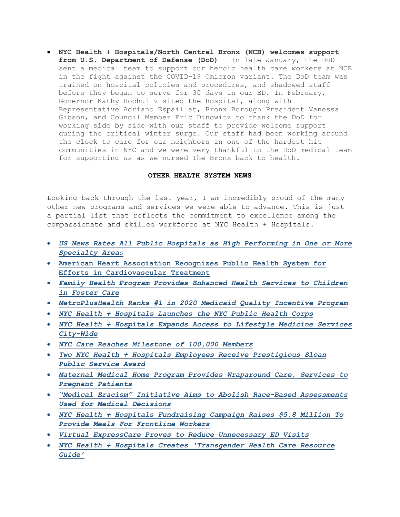• **NYC Health + Hospitals/North Central Bronx (NCB) welcomes support from U.S. Department of Defense (DoD)** – In late January, the DoD sent a medical team to support our heroic health care workers at NCB in the fight against the COVID-19 Omicron variant. The DoD team was trained on hospital policies and procedures, and shadowed staff before they began to serve for 30 days in our ED. In February, Governor Kathy Hochul visited the hospital, along with Representative Adriano Espaillat, Bronx Borough President Vanessa Gibson, and Council Member Eric Dinowitz to thank the DoD for working side by side with our staff to provide welcome support during the critical winter surge. Our staff had been working around the clock to care for our neighbors in one of the hardest hit communities in NYC and we were very thankful to the DoD medical team for supporting us as we nursed The Bronx back to health.

## **OTHER HEALTH SYSTEM NEWS**

Looking back through the last year, I am incredibly proud of the many other new programs and services we were able to advance. This is just a partial list that reflects the commitment to excellence among the compassionate and skilled workforce at NYC Health + Hospitals.

- *[US News Rates All Public Hospitals as High Performing in One or More](https://www.nychealthandhospitals.org/pressrelease/us-news-rates-all-public-hospitals-as-high-performing-in-at-least-one-specialty-area/)  [Specialty Area](https://www.nychealthandhospitals.org/pressrelease/us-news-rates-all-public-hospitals-as-high-performing-in-at-least-one-specialty-area/)s*
- **[American Heart Association Recognizes Public Health System for](https://www.nychealthandhospitals.org/pressrelease/american-heart-association-recognizes-system-for-efforts-in-cardiovascular-treatment/)  [Efforts in Cardiovascular Treatment](https://www.nychealthandhospitals.org/pressrelease/american-heart-association-recognizes-system-for-efforts-in-cardiovascular-treatment/)**
- *[Family Health Program Provides Enhanced Health Services to Children](https://www.nychealthandhospitals.org/pressrelease/family-health-program-provides-enhanced-health-services-to-children-in-foster-care/)  [in Foster Care](https://www.nychealthandhospitals.org/pressrelease/family-health-program-provides-enhanced-health-services-to-children-in-foster-care/)*
- *[MetroPlusHealth Ranks #1 in 2020 Medicaid Quality Incentive Program](https://www.nychealthandhospitals.org/pressrelease/metroplushealth-ranks-1-in-2020-medicaid-quality-incentive-program/)*
- *[NYC Health + Hospitals Launches the NYC Public Health Corps](https://www.nychealthandhospitals.org/pressrelease/mayor-de-blasio-launches-the-nyc-public-health-corps/)*
- *[NYC Health + Hospitals Expands Access to Lifestyle Medicine Services](https://www.nychealthandhospitals.org/pressrelease/nyc-health-hospitals-expands-access-lifestyle-medicine-services-city-wide/)  [City-Wide](https://www.nychealthandhospitals.org/pressrelease/nyc-health-hospitals-expands-access-lifestyle-medicine-services-city-wide/)*
- *[NYC Care Reaches Milestone of 100,000 Members](https://www.nychealthandhospitals.org/pressrelease/nyc-care-reaches-milestone-of-100000-members/)*
- *[Two NYC Health + Hospitals Employees Receive Prestigious Sloan](https://www.nychealthandhospitals.org/pressrelease/two-nyc-healthhospitals-employees-receive-prestigious-sloan-public-service-award/)  [Public Service Award](https://www.nychealthandhospitals.org/pressrelease/two-nyc-healthhospitals-employees-receive-prestigious-sloan-public-service-award/)*
- *[Maternal Medical Home Program Provides Wraparound Care, Services to](https://www.nychealthandhospitals.org/pressrelease/maternal-medical-home-program-provides-wraparound-care-services-to-pregnant-patients/)  [Pregnant Patients](https://www.nychealthandhospitals.org/pressrelease/maternal-medical-home-program-provides-wraparound-care-services-to-pregnant-patients/)*
- *["Medical Eracism" Initiative Aims to Abolish Race-Based Assessments](https://www.nychealthandhospitals.org/pressrelease/medical-eracism-initiative-aims-to-abolish-race-based-assessments-used-for-medical-decisions/)  [Used for Medical Decisions](https://www.nychealthandhospitals.org/pressrelease/medical-eracism-initiative-aims-to-abolish-race-based-assessments-used-for-medical-decisions/)*
- *[NYC Health + Hospitals Fundraising Campaign Raises \\$5.8 Million To](https://www.nychealthandhospitals.org/pressrelease/nyc-health-hospitals-fundraising-campaign-raises-5-8-million-to-provide-meals-for-frontline-workers/)  [Provide Meals For Frontline Workers](https://www.nychealthandhospitals.org/pressrelease/nyc-health-hospitals-fundraising-campaign-raises-5-8-million-to-provide-meals-for-frontline-workers/)*
- *[Virtual ExpressCare Proves to Reduce Unnecessary ED Visits](https://www.nychealthandhospitals.org/pressrelease/virtual-expresscare-proves-to-reduce-unnecessary-ed-visits/)*
- *[NYC Health + Hospitals Creates 'Transgender Health Care Resource](https://www.nychealthandhospitals.org/pressrelease/nyc-health-hospitals-creates-transgender-health-care-resource-guide/)  [Guide'](https://www.nychealthandhospitals.org/pressrelease/nyc-health-hospitals-creates-transgender-health-care-resource-guide/)*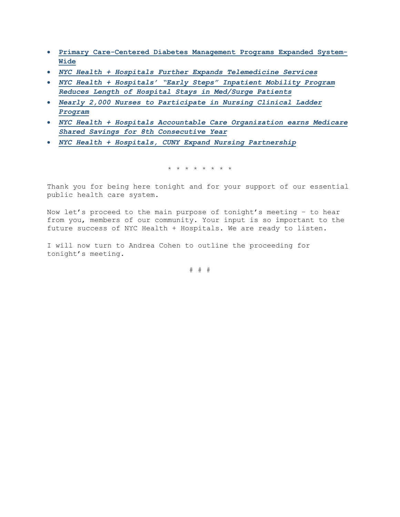- **[Primary Care-Centered Diabetes Management Programs Expanded System-](https://www.nychealthandhospitals.org/pressrelease/primary-care-centered-diabetes-management-programs-expanded-system-wide/)[Wide](https://www.nychealthandhospitals.org/pressrelease/primary-care-centered-diabetes-management-programs-expanded-system-wide/)**
- *[NYC Health + Hospitals Further Expands Telemedicine Services](https://www.nychealthandhospitals.org/pressrelease/nyc-health-hospitals-further-expands-telemedicine-services/)*
- *[NYC Health + Hospitals' "Early Steps" Inpatient Mobility Program](https://www.nychealthandhospitals.org/pressrelease/nyc-health-hospitals-early-steps-inpatient-mobility-program-reduces-length-of-hospital-stays-in-med-surge-patients/)  [Reduces Length of Hospital Stays in Med/Surge Patients](https://www.nychealthandhospitals.org/pressrelease/nyc-health-hospitals-early-steps-inpatient-mobility-program-reduces-length-of-hospital-stays-in-med-surge-patients/)*
- *[Nearly 2,000 Nurses to Participate in Nursing Clinical Ladder](https://www.nychealthandhospitals.org/pressrelease/nearly-2000-nurses-to-participate-in-nursing-clinical-ladder-program/)  [Program](https://www.nychealthandhospitals.org/pressrelease/nearly-2000-nurses-to-participate-in-nursing-clinical-ladder-program/)*
- *[NYC Health + Hospitals Accountable Care Organization earns Medicare](https://www.nychealthandhospitals.org/pressrelease/systems-aco-earns-medicare-shared-savings-for-8th-consecutive-year/)  [Shared Savings for 8th Consecutive Year](https://www.nychealthandhospitals.org/pressrelease/systems-aco-earns-medicare-shared-savings-for-8th-consecutive-year/)*
- *[NYC Health + Hospitals, CUNY Expand Nursing Partnership](https://www.nychealthandhospitals.org/pressrelease/hospital-system-expands-partners-with-cuny-to-advance-nursing-career-pathways/)*

\* \* \* \* \* \* \* \*

Thank you for being here tonight and for your support of our essential public health care system.

Now let's proceed to the main purpose of tonight's meeting – to hear from you, members of our community. Your input is so important to the future success of NYC Health + Hospitals. We are ready to listen.

I will now turn to Andrea Cohen to outline the proceeding for tonight's meeting.

# # #